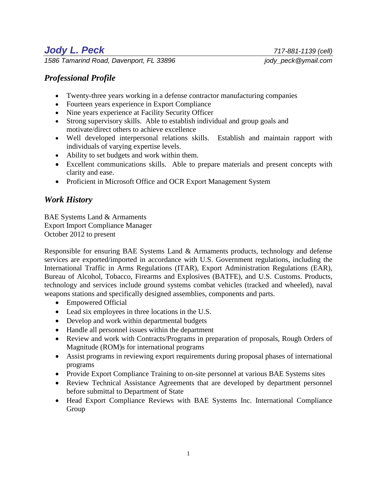# *Jody L. Peck 717-881-1139 (cell)*

*1586 Tamarind Road, Davenport, FL 33896 jody\_peck@ymail.com*

## *Professional Profile*

- Twenty-three years working in a defense contractor manufacturing companies
- Fourteen years experience in Export Compliance
- Nine years experience at Facility Security Officer
- Strong supervisory skills. Able to establish individual and group goals and motivate/direct others to achieve excellence
- Well developed interpersonal relations skills. Establish and maintain rapport with individuals of varying expertise levels.
- Ability to set budgets and work within them.
- Excellent communications skills. Able to prepare materials and present concepts with clarity and ease.
- Proficient in Microsoft Office and OCR Export Management System

# *Work History*

BAE Systems Land & Armaments Export Import Compliance Manager October 2012 to present

Responsible for ensuring BAE Systems Land & Armaments products, technology and defense services are exported/imported in accordance with U.S. Government regulations, including the International Traffic in Arms Regulations (ITAR), Export Administration Regulations (EAR), Bureau of Alcohol, Tobacco, Firearms and Explosives (BATFE), and U.S. Customs. Products, technology and services include ground systems combat vehicles (tracked and wheeled), naval weapons stations and specifically designed assemblies, components and parts.

- Empowered Official
- Lead six employees in three locations in the U.S.
- Develop and work within departmental budgets
- Handle all personnel issues within the department
- Review and work with Contracts/Programs in preparation of proposals, Rough Orders of Magnitude (ROM)s for international programs
- Assist programs in reviewing export requirements during proposal phases of international programs
- Provide Export Compliance Training to on-site personnel at various BAE Systems sites
- Review Technical Assistance Agreements that are developed by department personnel before submittal to Department of State
- Head Export Compliance Reviews with BAE Systems Inc. International Compliance Group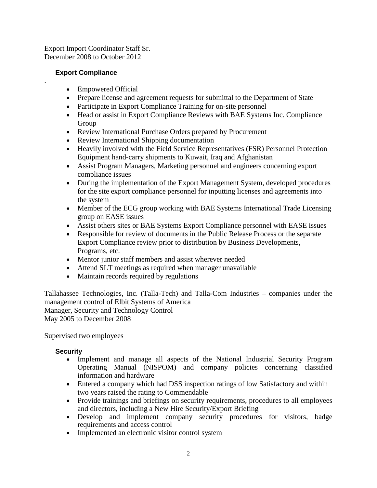Export Import Coordinator Staff Sr. December 2008 to October 2012

#### **Export Compliance**

.

- Empowered Official
- Prepare license and agreement requests for submittal to the Department of State
- Participate in Export Compliance Training for on-site personnel
- Head or assist in Export Compliance Reviews with BAE Systems Inc. Compliance Group
- Review International Purchase Orders prepared by Procurement
- Review International Shipping documentation
- Heavily involved with the Field Service Representatives (FSR) Personnel Protection Equipment hand-carry shipments to Kuwait, Iraq and Afghanistan
- Assist Program Managers, Marketing personnel and engineers concerning export compliance issues
- During the implementation of the Export Management System, developed procedures for the site export compliance personnel for inputting licenses and agreements into the system
- Member of the ECG group working with BAE Systems International Trade Licensing group on EASE issues
- Assist others sites or BAE Systems Export Compliance personnel with EASE issues
- Responsible for review of documents in the Public Release Process or the separate Export Compliance review prior to distribution by Business Developments, Programs, etc.
- Mentor junior staff members and assist wherever needed
- Attend SLT meetings as required when manager unavailable
- Maintain records required by regulations

Tallahassee Technologies, Inc. (Talla-Tech) and Talla-Com Industries – companies under the management control of Elbit Systems of America Manager, Security and Technology Control May 2005 to December 2008

Supervised two employees

#### **Security**

- Implement and manage all aspects of the National Industrial Security Program Operating Manual (NISPOM) and company policies concerning classified information and hardware
- Entered a company which had DSS inspection ratings of low Satisfactory and within two years raised the rating to Commendable
- Provide trainings and briefings on security requirements, procedures to all employees and directors, including a New Hire Security/Export Briefing
- Develop and implement company security procedures for visitors, badge requirements and access control
- Implemented an electronic visitor control system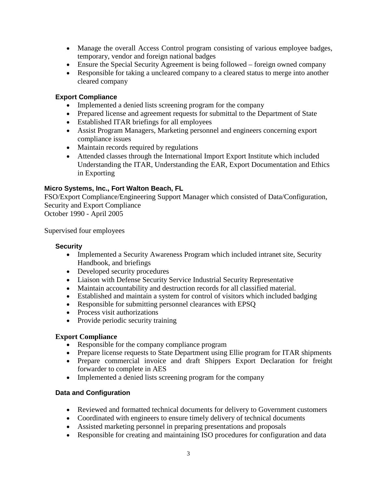- Manage the overall Access Control program consisting of various employee badges, temporary, vendor and foreign national badges
- Ensure the Special Security Agreement is being followed foreign owned company
- Responsible for taking a uncleared company to a cleared status to merge into another cleared company

#### **Export Compliance**

- Implemented a denied lists screening program for the company
- Prepared license and agreement requests for submittal to the Department of State
- Established ITAR briefings for all employees
- Assist Program Managers, Marketing personnel and engineers concerning export compliance issues
- Maintain records required by regulations
- Attended classes through the International Import Export Institute which included Understanding the ITAR, Understanding the EAR, Export Documentation and Ethics in Exporting

#### **Micro Systems, Inc., Fort Walton Beach, FL**

FSO/Export Compliance/Engineering Support Manager which consisted of Data/Configuration, Security and Export Compliance October 1990 - April 2005

Supervised four employees

#### **Security**

- Implemented a Security Awareness Program which included intranet site, Security Handbook, and briefings
- Developed security procedures
- Liaison with Defense Security Service Industrial Security Representative
- Maintain accountability and destruction records for all classified material.
- Established and maintain a system for control of visitors which included badging
- Responsible for submitting personnel clearances with EPSQ
- Process visit authorizations
- Provide periodic security training

#### **Export Compliance**

- Responsible for the company compliance program
- Prepare license requests to State Department using Ellie program for ITAR shipments
- Prepare commercial invoice and draft Shippers Export Declaration for freight forwarder to complete in AES
- Implemented a denied lists screening program for the company

#### **Data and Configuration**

- Reviewed and formatted technical documents for delivery to Government customers
- Coordinated with engineers to ensure timely delivery of technical documents
- Assisted marketing personnel in preparing presentations and proposals
- Responsible for creating and maintaining ISO procedures for configuration and data